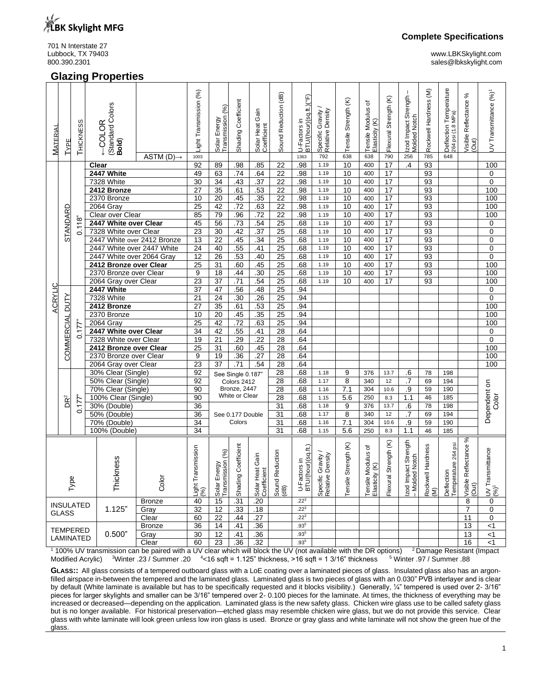

701 N Interstate 27<br>Lubbock, TX 79403

# **Glazing Properties**

Lubbock, TX 79403 www.LBKSkylight.com sales@lbkskylight.com

| <b>MATERIAL</b> | TYPE              | THICKNESS                  | Standard Colors<br>COLOR<br>Bold) | ASTM $(D) \rightarrow$ | Light Transmission (%)<br>1003 | (%)<br><b>Transmission</b><br>Solar Energy | Shading Coefficient | Solar Heat Gain<br>Coefficient | Sound Reduction (dB)       | U-Factors in<br>B <u>TU/(hour)(sq.ft.)(°F)</u><br>1363 | Specific Gravity /<br>Relative Density<br>792  | Tensile Strength (K)<br>638 | ৳<br>Tensile Modulus<br>Elasticity (K)<br>638 | Flexural Strength (K)<br>790 | Izod Impact Strength<br>Molded Notch<br>256 | Rockwell Hardness (M)<br>785 | Deflection Temperature<br>264 psi (1.8 MPa)<br>648 | వ్<br>Visible Reflectance %<br>(Out)   | UV Transmittance (%) <sup>1</sup>         |
|-----------------|-------------------|----------------------------|-----------------------------------|------------------------|--------------------------------|--------------------------------------------|---------------------|--------------------------------|----------------------------|--------------------------------------------------------|------------------------------------------------|-----------------------------|-----------------------------------------------|------------------------------|---------------------------------------------|------------------------------|----------------------------------------------------|----------------------------------------|-------------------------------------------|
|                 |                   |                            | Clear                             |                        | 92                             | 89                                         | .98                 | .85                            | 22                         | .98                                                    | 1.19                                           | 10                          | 400                                           | $\overline{17}$              | $\overline{A}$                              | 93                           |                                                    |                                        | 100                                       |
|                 |                   |                            | 2447 White                        |                        | 49                             | 63                                         | .74                 | .64                            | $\overline{22}$            | .98                                                    | 1.19                                           | 10                          | 400                                           | $\overline{17}$              |                                             | 93                           |                                                    |                                        | 0                                         |
|                 |                   |                            | 7328 White                        |                        | 30                             | 34                                         | .43                 | .37                            | $\overline{22}$            | .98                                                    | 1.19                                           | 10                          | 400                                           | 17                           |                                             | 93                           |                                                    |                                        | $\mathbf 0$                               |
|                 |                   |                            | 2412 Bronze                       |                        | 27                             | $\overline{35}$                            | .61                 | .53                            | 22                         | .98                                                    | 1.19                                           | 10                          | 400                                           | 17                           |                                             | 93                           |                                                    |                                        | 100                                       |
|                 |                   |                            | 2370 Bronze                       |                        | 10                             | 20                                         | .45                 | .35                            | $\overline{22}$            | .98                                                    | 1.19                                           | 10                          | 400                                           | 17                           |                                             | 93                           |                                                    |                                        | 100                                       |
|                 | RD                |                            | 2064 Gray                         |                        | $\overline{25}$                | 42                                         | .72                 | .63                            | $\overline{22}$            | .98                                                    | 1.19                                           | 10                          | 400                                           | 17                           |                                             | 93                           |                                                    |                                        | 100                                       |
|                 |                   |                            | Clear over Clear                  |                        | 85                             | 79                                         | .96                 | .72                            | $\overline{22}$            | .98                                                    | 1.19                                           | 10                          | 400                                           | 17                           |                                             | 93                           |                                                    |                                        | 100                                       |
|                 | STANDA            | 0.118"                     | 2447 White over Clear             |                        | 45                             | 56                                         | .73                 | .54                            | 25                         | .68                                                    | 1.19                                           | 10                          | 400                                           | $\overline{17}$              |                                             | 93                           |                                                    |                                        | 0                                         |
|                 |                   |                            | 7328 White over Clear             |                        | 23                             | $\overline{30}$                            | .42                 | .37                            | $\overline{25}$            | .68                                                    | 1.19                                           | 10                          | 400                                           | $\overline{17}$              |                                             | 93                           |                                                    |                                        | 0                                         |
|                 |                   |                            | 2447 White over 2412 Bronze       |                        | 13                             | 22                                         | .45                 | .34                            | 25                         | .68                                                    | 1.19                                           | 10                          | 400                                           | 17                           |                                             | 93                           |                                                    |                                        | 0                                         |
|                 |                   |                            | 2447 White over 2447 White        |                        | $\overline{24}$                | 40                                         | .55                 | .41                            | $\overline{25}$            | .68                                                    | 1.19                                           | 10                          | 400                                           | 17                           |                                             | 93                           |                                                    |                                        | $\mathbf 0$                               |
|                 |                   |                            | 2447 White over 2064 Gray         |                        | 12<br>$\overline{25}$          | $\overline{26}$                            | .53                 | .40                            | $\overline{25}$            | .68                                                    | 1.19                                           | 10                          | 400                                           | 17                           |                                             | 93                           |                                                    |                                        | $\mathbf 0$                               |
|                 |                   |                            |                                   | 2412 Bronze over Clear |                                | 31                                         | .60                 | .45                            | $\overline{25}$            | .68                                                    | 1.19                                           | 10                          | 400                                           | 17                           |                                             | 93                           |                                                    |                                        | 100                                       |
|                 |                   |                            | 2370 Bronze over Clear            |                        | 9                              | 18                                         | .44                 | $\overline{.30}$               | $\overline{25}$            | .68                                                    | 1.19                                           | 10                          | 400                                           | $\overline{17}$              |                                             | 93                           |                                                    |                                        | 100                                       |
|                 |                   |                            | 2064 Gray over Clear              |                        | 23                             | $\overline{37}$                            | .71                 | .54                            | $\overline{25}$            | .68                                                    | 1.19                                           | 10                          | 400                                           | 17                           |                                             | 93                           |                                                    |                                        | 100                                       |
| ACRYLIC         |                   |                            | 2447 White<br>7328 White          |                        | 37                             | 47                                         | .56                 | .48                            | 25                         | .94                                                    |                                                |                             |                                               |                              |                                             |                              |                                                    |                                        | 0                                         |
|                 | <b>DUTY</b>       |                            |                                   |                        | 21<br>27                       | 24<br>35                                   | .30<br>.61          | .26                            | $\overline{25}$<br>25      | .94<br>.94                                             |                                                |                             |                                               |                              |                                             |                              |                                                    |                                        | 0<br>100                                  |
|                 |                   | 2412 Bronze<br>2370 Bronze |                                   |                        | 10                             | 20                                         | .45                 | .53<br>.35                     | 25                         | .94                                                    |                                                |                             |                                               |                              |                                             |                              |                                                    |                                        | 100                                       |
|                 |                   |                            | 2064 Gray                         |                        | 25                             | 42                                         | .72                 | .63                            | 25                         | .94                                                    |                                                |                             |                                               |                              |                                             |                              |                                                    |                                        | 100                                       |
|                 |                   | $0.177$ "                  | 2447 White over Clear             |                        | 34                             | 42                                         | .55                 | .41                            | 28                         | .64                                                    |                                                |                             |                                               |                              |                                             |                              |                                                    |                                        | 0                                         |
|                 |                   |                            | 7328 White over Clear             |                        | 19                             | 21                                         | .29                 | .22                            | $\overline{28}$            | .64                                                    |                                                |                             |                                               |                              |                                             |                              |                                                    |                                        | 0                                         |
|                 |                   |                            | 2412 Bronze over Clear            |                        | 25                             | 31                                         | .60                 | .45                            | 28                         | .64                                                    |                                                |                             |                                               |                              |                                             |                              |                                                    |                                        | 100                                       |
|                 | <b>COMMERCIAL</b> |                            | 2370 Bronze over Clear            |                        | 9                              | 19                                         | .36                 | .27                            | 28                         | .64                                                    |                                                |                             |                                               |                              |                                             |                              |                                                    |                                        | 100                                       |
|                 |                   |                            | 2064 Gray over Clear              |                        | 23                             | 37                                         | .71                 | .54                            | 28                         | .64                                                    |                                                |                             |                                               |                              |                                             |                              |                                                    |                                        | 100                                       |
|                 |                   |                            | 30% Clear (Single)                |                        | 92                             |                                            | See Single 0.187"   |                                | 28                         | .68                                                    | 1.18                                           | 9                           | 376                                           | 13.7                         | .6                                          | 78                           | 198                                                |                                        |                                           |
|                 |                   |                            | 50% Clear (Single)                |                        | 92                             |                                            | Colors 2412         |                                | $\overline{28}$            | .68                                                    | 1.17                                           | 8                           | 340                                           | 12                           | $\cdot$                                     | 69                           | 194                                                |                                        |                                           |
|                 |                   |                            | 70% Clear (Single)                |                        | 90                             |                                            | Bronze, 2447        |                                | 28                         | .68                                                    | 1.16                                           | 7.1                         | 304                                           | 10.6                         | .9                                          | 59                           | 190                                                |                                        |                                           |
|                 |                   |                            | 100% Clear (Single)               |                        | 90                             |                                            | White or Clear      |                                | 28                         | .68                                                    | 1.15                                           | 5.6                         | 250                                           | 8.3                          | 1.1                                         | 46                           | 185                                                |                                        |                                           |
|                 | DR <sup>2</sup>   | 0.177                      | 30% (Double)                      |                        | $\overline{36}$                |                                            |                     |                                | 31                         | .68                                                    | 1.18                                           | 9                           | 376                                           | 13.7                         | .6                                          | 78                           | 198                                                |                                        | Dependent on<br>Color                     |
|                 |                   |                            | 50% (Double)                      |                        | 36                             |                                            | See 0.177 Double    |                                | 31                         | .68                                                    | 1.17                                           | 8                           | 340                                           | 12                           | .7                                          | 69                           | 194                                                |                                        |                                           |
|                 |                   |                            | 70% (Double)                      |                        | 34                             |                                            | Colors              |                                | 31                         | .68                                                    | 1.16                                           | 7.1                         | 304                                           | 10.6                         | .9                                          | 59                           | 190                                                |                                        |                                           |
|                 |                   |                            | 100% (Double)                     |                        | 34                             |                                            |                     |                                | 31                         | .68                                                    | 1.15                                           | 5.6                         | 250                                           | 8.3                          | 1.1                                         | 46                           | 185                                                |                                        |                                           |
| Туре            |                   |                            | Thickness                         | Color                  | Light Transmission<br>(%)      | Solar Energy<br>Transmission (%)           | Shading Coefficient | Solar Heat Gain                | Reduction<br>Sound<br>(dB) | hour)(sq.ft.)<br>U-Factors in<br>BTU/(hour) (so        | Gravity /<br>Density<br>Specific (<br>Relative | Strength (K)<br>Tensile     | Tensile Modulus of<br>Elasticity (K)          | Strength (K)<br>Flexural     | Izod Impact Strength<br>- Molded Notch      | Rockwell Hardness<br>(M)     | Deflection<br>Temperature 264 psi                  | %<br>Reflectance<br>Visible I<br>(Out) | $\frac{ UV }{\binom{96}{}}$ Transmittance |
|                 |                   | <b>INSULATED</b>           |                                   | <b>Bronze</b>          | 40                             | 15                                         | .31                 | .20                            |                            | $.22^{3}$                                              |                                                |                             |                                               |                              |                                             |                              |                                                    | 8                                      | 0                                         |
|                 | <b>GLASS</b>      |                            | 1.125"                            | Gray                   | $\overline{32}$                | $\overline{12}$                            | .33                 | .18                            |                            | $.22^{3}$                                              |                                                |                             |                                               |                              |                                             |                              |                                                    | $\overline{7}$                         | 0                                         |
|                 |                   |                            |                                   | Clear                  | 60                             | 22                                         | .44                 | .27                            |                            | $.22^{3}$                                              |                                                |                             |                                               |                              |                                             |                              |                                                    | 11                                     | 0                                         |
|                 |                   | <b>TEMPERED</b>            |                                   | <b>Bronze</b>          | 36                             | 14                                         | .41                 | .36                            |                            | $.93^{5}$                                              |                                                |                             |                                               |                              |                                             |                              |                                                    | 13                                     | $<$ 1                                     |
|                 |                   | LAMINATED                  | 0.500"                            | Gray                   | 30                             | 12                                         | .41                 | .36                            |                            | $.93^{5}$                                              |                                                |                             |                                               |                              |                                             |                              |                                                    | 13                                     | $<$ 1                                     |
|                 |                   |                            |                                   | Clear                  | 60                             | $\overline{23}$                            | .36                 | .32                            |                            | $.93^{5}$                                              |                                                |                             |                                               |                              |                                             |                              |                                                    | 16                                     | < 1                                       |

 $1100\%$  UV transmission can be paired with a UV clear which will block the UV (not available with the DR options)  $2$  Damage Resistant (Impact Modified Acrylic)  $3$ Winter .23 / Summer .20  $^{-4}$ <16 sqft = 1.125" thickness, >16 sqft = 1 3/16" thickness  $^{-5}$  Winter .97 / Summer .88

**GLASS::** All glass consists of a tempered outboard glass with a LoE coating over a laminated pieces of glass. Insulated glass also has an argonfilled airspace in-between the tempered and the laminated glass. Laminated glass is two pieces of glass with an 0.030" PVB interlayer and is clear by default (White laminate is available but has to be specifically requested and it blocks visibility.) Generally, 1/4" tempered is used over 2- 3/16" pieces for larger skylights and smaller can be 3/16" tempered over 2- 0.100 pieces for the laminate. At times, the thickness of everything may be increased or decreased—depending on the application. Laminated glass is the new safety glass. Chicken wire glass use to be called safety glass but is no longer available. For historical preservation—etched glass may resemble chicken wire glass, but we do not provide this service. Clear glass with white laminate will look green unless low iron glass is used. Bronze or gray glass and white laminate will not show the green hue of the glass.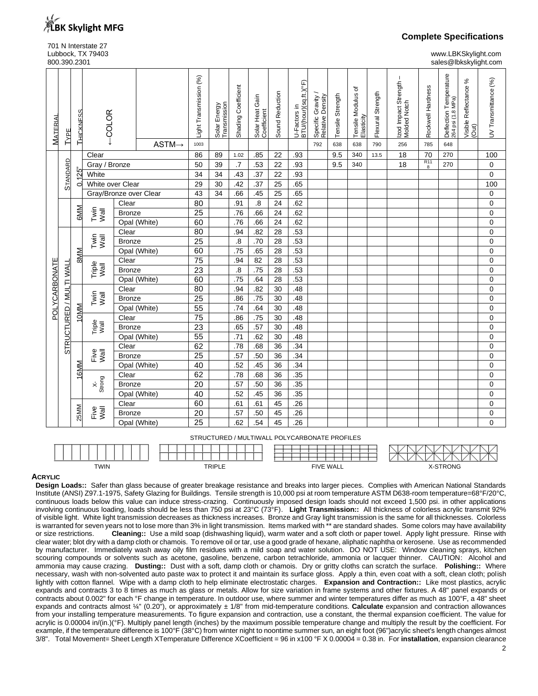

# 701 N Interstate 27<br>Lubbock, TX 79403

**Complete Specifications**

www.LBKSkylight.com 800.390.2301 sales@lbkskylight.com

| <b>MATERIAL</b> | TYPE                    | THICKNESS  | $-COLOR$                |               | $ASTM \rightarrow$ | Light Transmission (%)<br>1003 | Solar Energy<br>Transmission | Shading Coefficient | Solar Heat Gain<br>Coefficient | Sound Reduction | U-Factors in<br>BTU/ <u>(hour)(sq.ft.)(°F)</u> | Specific Gravity<br>Relative Density<br>792 | Tensile Strength<br>638 | ৳<br>Tensile Modulus<br>Elasticity<br>638 | Flexural Strength<br>790 | Izod Impact Strength<br>Molded Notch<br>256 | Rockwell Hardness<br>785 | Deflection Temperature<br>264 psi (1.8 MPa)<br>648 | వ్<br>Visible Reflectance<br>(Out) | UV Transmittance (%) |
|-----------------|-------------------------|------------|-------------------------|---------------|--------------------|--------------------------------|------------------------------|---------------------|--------------------------------|-----------------|------------------------------------------------|---------------------------------------------|-------------------------|-------------------------------------------|--------------------------|---------------------------------------------|--------------------------|----------------------------------------------------|------------------------------------|----------------------|
|                 |                         |            | Clear                   |               |                    | 86                             | 89                           | 1.02                | .85                            | 22              | .93                                            |                                             | 9.5                     | 340                                       | 13.5                     | 18                                          | 70                       | 270                                                |                                    | 100                  |
|                 |                         |            | Gray / Bronze           |               |                    | 50                             | 39                           | $\overline{.7}$     | .53                            | 22              | .93                                            |                                             | 9.5                     | 340                                       |                          | 18                                          | R <sub>11</sub><br>8     | 270                                                |                                    | 0                    |
|                 |                         | 0.125      | White                   |               | 34                 | 34                             | .43                          | $\overline{.37}$    | $\overline{22}$                | .93             |                                                |                                             |                         |                                           |                          |                                             |                          |                                                    | 0                                  |                      |
|                 | <b>STANDARD</b>         |            | White over Clear        |               | 29                 | 30                             | .42                          | .37                 | 25                             | .65             |                                                |                                             |                         |                                           |                          |                                             |                          |                                                    | 100                                |                      |
|                 |                         |            | Gray/Bronze over Clear  |               |                    | 43                             | 34                           | .66                 | .45                            | $\overline{25}$ | .65                                            |                                             |                         |                                           |                          |                                             |                          |                                                    |                                    | $\mathbf 0$          |
|                 |                         |            |                         | Clear         |                    | 80                             |                              | .91                 | $\overline{.8}$                | 24              | .62                                            |                                             |                         |                                           |                          |                                             |                          |                                                    |                                    | $\pmb{0}$            |
|                 |                         | <b>GMM</b> | Twin<br>Wall            | <b>Bronze</b> |                    | $\overline{25}$                |                              | .76                 | .66                            | 24              | .62                                            |                                             |                         |                                           |                          |                                             |                          |                                                    |                                    | 0                    |
|                 |                         |            |                         |               | Opal (White)       | 60                             |                              | .76                 | .66                            | $\overline{24}$ | .62                                            |                                             |                         |                                           |                          |                                             |                          |                                                    |                                    | 0                    |
|                 |                         |            |                         | Clear         |                    | 80                             |                              | .94                 | .82                            | 28              | .53                                            |                                             |                         |                                           |                          |                                             |                          |                                                    |                                    | 0                    |
|                 |                         |            | Twin<br>Wall            | <b>Bronze</b> |                    | $\overline{25}$                |                              | $\overline{.8}$     | .70                            | 28              | .53                                            |                                             |                         |                                           |                          |                                             |                          |                                                    |                                    | 0                    |
|                 |                         | <b>MM8</b> |                         |               | Opal (White)       | 60                             |                              | .75                 | .65                            | 28              | .53                                            |                                             |                         |                                           |                          |                                             |                          |                                                    |                                    | 0                    |
|                 |                         |            | Triple<br>Wall          | Clear         |                    | $\overline{75}$                |                              | .94                 | $\overline{82}$                | 28              | .53                                            |                                             |                         |                                           |                          |                                             |                          |                                                    |                                    | 0                    |
|                 |                         |            |                         | <b>Bronze</b> |                    | 23                             |                              | $\overline{8}$      | .75                            | 28              | .53                                            |                                             |                         |                                           |                          |                                             |                          |                                                    |                                    | 0                    |
| POLYCARBONATE   | STRUCTURED / MULTI WALI |            |                         |               | Opal (White)       | 60                             |                              | .75                 | .64                            | 28              | .53                                            |                                             |                         |                                           |                          |                                             |                          |                                                    |                                    | 0                    |
|                 |                         |            |                         | Clear         |                    | 80<br>$\overline{25}$          |                              | .94                 | .82                            | 30              | .48                                            |                                             |                         |                                           |                          |                                             |                          |                                                    |                                    | 0                    |
|                 |                         |            | Twin<br>Wall            |               | <b>Bronze</b>      |                                |                              | .86                 | .75                            | 30              | .48                                            |                                             |                         |                                           |                          |                                             |                          |                                                    |                                    | 0                    |
|                 |                         | 10MM       |                         |               | Opal (White)       | 55                             |                              | .74                 | .64                            | 30              | .48                                            |                                             |                         |                                           |                          |                                             |                          |                                                    |                                    | 0                    |
|                 |                         |            |                         | Clear         |                    | 75                             |                              | .86                 | .75                            | 30              | .48                                            |                                             |                         |                                           |                          |                                             |                          |                                                    |                                    | 0                    |
|                 |                         |            | Triple<br>Wall          | <b>Bronze</b> |                    | $\overline{23}$                |                              | .65                 | .57                            | 30              | .48                                            |                                             |                         |                                           |                          |                                             |                          |                                                    |                                    | 0                    |
|                 |                         |            |                         |               | Opal (White)       | 55                             |                              | $\overline{.71}$    | .62                            | 30              | .48                                            |                                             |                         |                                           |                          |                                             |                          |                                                    |                                    | 0                    |
|                 |                         |            |                         | Clear         |                    | 62                             |                              | .78                 | .68                            | 36              | .34                                            |                                             |                         |                                           |                          |                                             |                          |                                                    |                                    | $\mathbf 0$          |
|                 |                         |            | $\frac{1}{\sqrt{2}}$    | <b>Bronze</b> |                    | $\overline{25}$                |                              | .57                 | .50                            | 36              | .34                                            |                                             |                         |                                           |                          |                                             |                          |                                                    |                                    | 0                    |
|                 |                         | 16MM       |                         |               | Opal (White)       | 40                             |                              | .52                 | .45                            | $\overline{36}$ | .34                                            |                                             |                         |                                           |                          |                                             |                          |                                                    |                                    | 0                    |
|                 |                         |            |                         | Clear         |                    | 62                             |                              | .78                 | .68                            | $\overline{36}$ | .35                                            |                                             |                         |                                           |                          |                                             |                          |                                                    |                                    | 0                    |
|                 |                         |            | $rac{x}{\text{Strong}}$ | <b>Bronze</b> |                    | $\overline{20}$                |                              | .57                 | .50                            | $\overline{36}$ | .35                                            |                                             |                         |                                           |                          |                                             |                          |                                                    |                                    | 0                    |
|                 |                         |            |                         |               | Opal (White)       | 40                             |                              | .52                 | .45                            | $\overline{36}$ | .35                                            |                                             |                         |                                           |                          |                                             |                          |                                                    |                                    | 0                    |
|                 |                         |            |                         | Clear         |                    | 60                             |                              | .61                 | .61                            | 45              | .26                                            |                                             |                         |                                           |                          |                                             |                          |                                                    |                                    | 0                    |
|                 |                         | 25MM       | Five<br>Wall            | <b>Bronze</b> |                    | $\overline{20}$                |                              | .57                 | .50                            | 45              | .26                                            |                                             |                         |                                           |                          |                                             |                          |                                                    |                                    | 0                    |
|                 |                         |            |                         |               | Opal (White)       | $\overline{25}$                |                              | .62                 | .54                            | 45              | .26                                            |                                             |                         |                                           |                          |                                             |                          |                                                    |                                    | $\Omega$             |

STRUCTURED / MULTIWALL POLYCARBONATE PROFILES

|      |               |                  | . .<br>◟               |
|------|---------------|------------------|------------------------|
|      |               |                  | æ                      |
| TWIN | <b>TRIPLE</b> | <b>FIVE WALL</b> | <b>TRONG</b><br>______ |

### **ACRYLIC**

**Design Loads::** Safer than glass because of greater breakage resistance and breaks into larger pieces. Complies with American National Standards Institute (ANSI) Z97.1-1975, Safety Glazing for Buildings. Tensile strength is 10,000 psi at room temperature ASTM D638-room temperature=68°F/20°C, continuous loads below this value can induce stress-crazing. Continuously imposed design loads should not exceed 1,500 psi. in other applications involving continuous loading, loads should be less than 750 psi at 23°C (73°F). **Light Transmission::** All thickness of colorless acrylic transmit 92% of visible light. White light transmission decreases as thickness increases. Bronze and Gray light transmission is the same for all thicknesses. Colorless is warranted for seven years not to lose more than 3% in light transmission. Items marked with \*\* are standard shades. Some colors may have availability or size restrictions. **Cleaning::** Use a mild soap (dishwashing liquid), warm water and a soft cloth or paper towel. Apply light pressure. Rinse with clear water; blot dry with a damp cloth or chamois. To remove oil or tar, use a good grade of hexane, aliphatic naphtha or kerosene. Use as recommended by manufacturer. Immediately wash away oily film residues with a mild soap and water solution. DO NOT USE: Window cleaning sprays, kitchen scouring compounds or solvents such as acetone, gasoline, benzene, carbon tetrachloride, ammonia or lacquer thinner. CAUTION: Alcohol and ammonia may cause crazing. **Dusting::** Dust with a soft, damp cloth or chamois. Dry or gritty cloths can scratch the surface. **Polishing::** Where necessary, wash with non-solvented auto paste wax to protect it and maintain its surface gloss. Apply a thin, even coat with a soft, clean cloth; polish lightly with cotton flannel. Wipe with a damp cloth to help eliminate electrostatic charges. **Expansion and Contraction::** Like most plastics, acrylic expands and contracts 3 to 8 times as much as glass or metals. Allow for size variation in frame systems and other fixtures. A 48" panel expands or contracts about 0.002" for each °F change in temperature. In outdoor use, where summer and winter temperatures differ as much as 100°F, a 48" sheet expands and contracts almost ¼" (0.20"), or approximately ± 1/8" from mid-temperature conditions. **Calculate** expansion and contraction allowances from your installing temperature measurements. To figure expansion and contraction, use a constant, the thermal expansion coefficient. The value for acrylic is 0.00004 in/(in.)(°F). Multiply panel length (inches) by the maximum possible temperature change and multiply the result by the coefficient. For example, if the temperature difference is 100°F (38°C) from winter night to noontime summer sun, an eight foot (96")acrylic sheet's length changes almost 3/8". Total Movement= Sheet Length XTemperature Difference XCoefficient = 96 in x100 °F X 0.00004 = 0.38 in. For **installation**, expansion clearance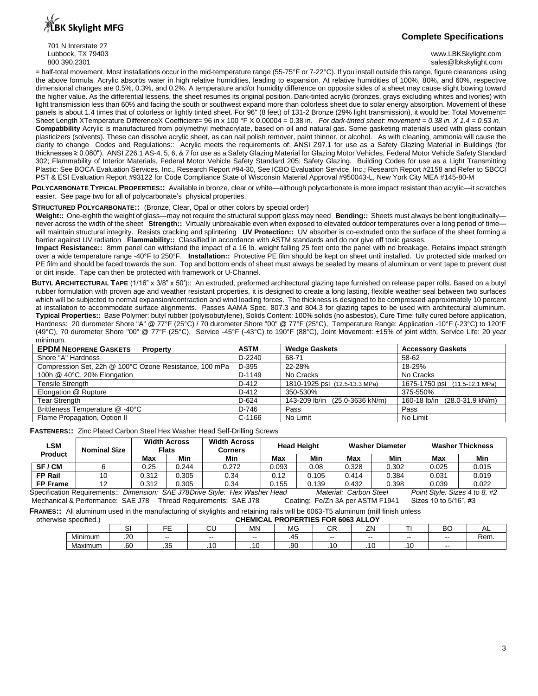**BK Skylight MFG** 

701 N Interstate 27<br>Lubbock, TX 79403

## **Complete Specifications**

www.LBKSkylight.com 800.390.2301 sales@lbkskylight.com sales@lbkskylight.com

= half-total movement. Most installations occur in the mid-temperature range (55-75°F or 7-22°C). If you install outside this range, figure clearances using the above formula. Acrylic absorbs water in high relative humidities, leading to expansion. At relative humidities of 100%, 80%, and 60%, respective dimensional changes are 0.5%, 0.3%, and 0.2%. A temperature and/or humidity difference on opposite sides of a sheet may cause slight bowing toward the higher value. As the differential lessens, the sheet resumes its original position. Dark-tinted acrylic (bronzes, grays excluding whites and ivories) with light transmission less than 60% and facing the south or southwest expand more than colorless sheet due to solar energy absorption. Movement of these panels is about 1.4 times that of colorless or lightly tinted sheet. For 96" (8 feet) of 131-2 Bronze (29% light transmission), it would be: Total Movement= Sheet Length XTemperature DifferenceX Coefficient= 96 in x 100 °F X 0.00004 = 0.38 in. *For dark-tinted sheet: movement* = 0.38 in. X 1.4 = 0.53 in. **Compatibility** Acrylic is manufactured from polymethyl methacrylate, based on oil and natural gas. Some gasketing materials used with glass contain plasticizers (solvents). These can dissolve acrylic sheet, as can nail polish remover, paint thinner, or alcohol. As with cleaning, ammonia will cause the clarity to change Codes and Regulations:: Acrylic meets the requirements of: ANSI Z97.1 for use as a Safety Glazing Material in Buildings (for thicknesses ≥ 0.080"). ANSI Z26.1 AS-4, 5, 6, & 7 for use as a Safety Glazing Material for Glazing Motor Vehicles, Federal Motor Vehicle Safety Standard 302; Flammability of Interior Materials, Federal Motor Vehicle Safety Standard 205; Safety Glazing. Building Codes for use as a Light Transmitting Plastic: See BOCA Evaluation Services, Inc., Research Report #94-30, See ICBO Evaluation Service, Inc.; Research Report #2158 and Refer to SBCCI PST & ESI Evaluation Report #93122 for Code Compliance State of Wisconsin Material Approval #950043-L, New York City MEA #145-80-M

**POLYCARBONATE TYPICAL PROPERTIES::** Available in bronze, clear or white—although polycarbonate is more impact resistant than acrylic—it scratches easier. See page two for all of polycarbonate's physical properties.

#### **STRUCTURED POLYCARBONATE::** (Bronze, Clear, Opal or other colors by special order)

**Weight::** One-eighth the weight of glass—may not require the structural support glass may need **Bending::** Sheets must always be bent longitudinally never across the width of the sheet **Strength::** Virtually unbreakable even when exposed to elevated outdoor temperatures over a long period of time will maintain structural integrity. Resists cracking and splintering **UV Protection::** UV absorber is co-extruded onto the surface of the sheet forming a barrier against UV radiation **Flammability::** Classified in accordance with ASTM standards and do not give off toxic gasses.

**Impact Resistance::** 8mm panel can withstand the impact of a 16 lb. weight falling 25 feet onto the panel with no breakage. Retains impact strength over a wide temperature range -40°F to 250°F. **Installation::** Protective PE film should be kept on sheet until installed. Uv protected side marked on PE film and should be faced towards the sun. Top and bottom ends of sheet must always be sealed by means of aluminum or vent tape to prevent dust or dirt inside. Tape can then be protected with framework or U-Channel.

**BUTYL ARCHITECTURAL TAPE** (1/16" x 3/8" x 50')::An extruded, preformed architectural glazing tape furnished on release paper rolls. Based on a butyl rubber formulation with proven age and weather resistant properties, it is designed to create a long lasting, flexible weather seal between two surfaces which will be subjected to normal expansion/contraction and wind loading forces. The thickness is designed to be compressed approximately 10 percent at installation to accommodate surface alignments. Passes AAMA Spec. 807.3 and 804.3 for glazing tapes to be used with architectural aluminum. **Typical Properties::** Base Polymer: butyl rubber (polyisobutylene), Solids Content: 100% solids (no asbestos), Cure Time: fully cured before application, Hardness: 20 durometer Shore "A" @ 77°F (25°C) / 70 durometer Shore "00" @ 77°F (25°C), Temperature Range: Application -10°F (-23°C) to 120°F (49°C), 70 durometer Shore "00" @ 77°F (25°C), Service -45°F (-43°C) to 190°F (88°C), Joint Movement: ±15% of joint width, Service Life: 20 year minimum.

| <b>EPDM NEOPRENE GASKETS</b><br><b>Property</b>        | ASTM    | <b>Wedge Gaskets</b>           | <b>Accessory Gaskets</b>      |
|--------------------------------------------------------|---------|--------------------------------|-------------------------------|
| Shore "A" Hardness                                     | D-2240  | 68-71                          | 58-62                         |
| Compression Set, 22h @ 100°C Ozone Resistance, 100 mPa | D-395   | 22-28%                         | 18-29%                        |
| 100h @ 40°C, 20% Elongation                            | D-1149  | No Cracks                      | No Cracks                     |
| <b>Tensile Strength</b>                                | D-412   | 1810-1925 psi (12.5-13.3 MPa)  | 1675-1750 psi (11.5-12.1 MPa) |
| Elongation @ Rupture                                   | D-412   | 350-530%                       | 375-550%                      |
| <b>Tear Strength</b>                                   | $D-624$ | 143-209 lb/in (25.0-3636 kN/m) | 160-18 lb/in (28.0-31.9 kN/m) |
| Brittleness Temperature @ -40°C                        | D-746   | Pass                           | Pass                          |
| Flame Propagation, Option II                           | C-1166  | No Limit                       | No Limit                      |

**FASTENERS::** Zinc Plated Carbon Steel Hex Washer Head Self-Drilling Screws

| <b>LSM</b><br><b>Product</b> | <b>Width Across</b><br>Flats<br><b>Nominal Size</b> |       |       | <b>Width Across</b><br><b>Corners</b>                                       |       | <b>Head Height</b> |                        | <b>Washer Diameter</b> | <b>Washer Thickness</b>       |       |  |
|------------------------------|-----------------------------------------------------|-------|-------|-----------------------------------------------------------------------------|-------|--------------------|------------------------|------------------------|-------------------------------|-------|--|
|                              |                                                     | Max   | Min   | Min                                                                         | Max   | Min                | Max                    | Min                    | Max                           | Min   |  |
| SF/CM                        |                                                     | 0.25  | 0.244 | 0.272                                                                       | 0.093 | 0.08               | 0.328                  | 0.302                  | 0.025                         | 0.015 |  |
| <b>FP Rail</b>               |                                                     | 0.312 | 0.305 | 0.34                                                                        | 0.12  | 0.105              | 0.414                  | 0.384                  | 0.031                         | 0.019 |  |
| <b>FP Frame</b>              |                                                     | 0.312 | 0.305 | 0.34                                                                        | 0.155 | 0.139              | 0.432                  | 0.398                  | 0.039                         | 0.022 |  |
|                              |                                                     |       |       | Specification Requirements:: Dimension: SAE J78Drive Style: Hex Washer Head |       |                    | Material: Carbon Steel |                        | Point Style: Sizes 4 to 8, #2 |       |  |

Mechanical & Performance: SAE J78 Thread Requirements: SAE J78 Coating: Fe/Zn 3A per ASTM F1941 Sizes 10 to 5/16", #3

**FRAMES::** All aluminum used in the manufacturing of skylights and retaining rails will be 6063-T5 aluminum (mill finish unless

| $\cdots$<br>otherwise specified.) |               | . PROPERTIES FOR 6063 ALLOY<br><b>CHEMICAL I</b> |       |       |     |              |                         |          |           |      |  |  |  |  |
|-----------------------------------|---------------|--------------------------------------------------|-------|-------|-----|--------------|-------------------------|----------|-----------|------|--|--|--|--|
|                                   |               |                                                  | ◡     | M٨    | MG  | $\sim$<br>◡∩ | <b>7N</b><br><u>— I</u> |          | n c<br>DU | ⌒∟   |  |  |  |  |
| Minimum                           | $\sim$<br>.zu | $- -$                                            | $- -$ | $- -$ | .45 | $- -$        | --                      | --       | $- -$     | Rem. |  |  |  |  |
| Maximum                           | .60           | $\sim$<br>ں ب                                    | .     | .     | .90 | .            | .                       | . .<br>. | $- -$     |      |  |  |  |  |